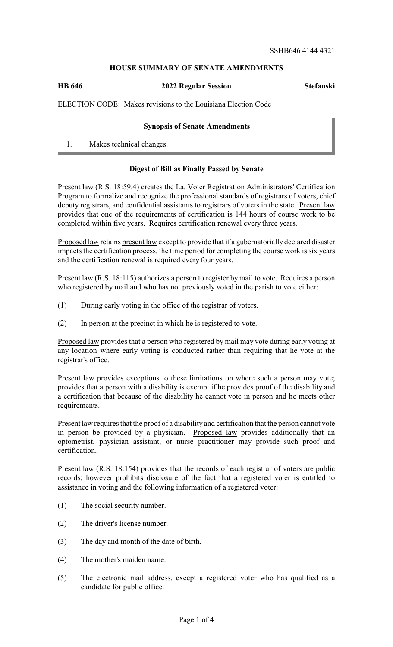## **HOUSE SUMMARY OF SENATE AMENDMENTS**

**HB 646 2022 Regular Session Stefanski**

ELECTION CODE: Makes revisions to the Louisiana Election Code

## **Synopsis of Senate Amendments**

1. Makes technical changes.

## **Digest of Bill as Finally Passed by Senate**

Present law (R.S. 18:59.4) creates the La. Voter Registration Administrators' Certification Program to formalize and recognize the professional standards of registrars of voters, chief deputy registrars, and confidential assistants to registrars of voters in the state. Present law provides that one of the requirements of certification is 144 hours of course work to be completed within five years. Requires certification renewal every three years.

Proposed law retains present law except to provide that if a gubernatorially declared disaster impacts the certification process, the time period for completing the course work is six years and the certification renewal is required every four years.

Present law (R.S. 18:115) authorizes a person to register by mail to vote. Requires a person who registered by mail and who has not previously voted in the parish to vote either:

- (1) During early voting in the office of the registrar of voters.
- (2) In person at the precinct in which he is registered to vote.

Proposed law provides that a person who registered by mail may vote during early voting at any location where early voting is conducted rather than requiring that he vote at the registrar's office.

Present law provides exceptions to these limitations on where such a person may vote; provides that a person with a disability is exempt if he provides proof of the disability and a certification that because of the disability he cannot vote in person and he meets other requirements.

Present law requires that the proof of a disability and certification that the person cannot vote in person be provided by a physician. Proposed law provides additionally that an optometrist, physician assistant, or nurse practitioner may provide such proof and certification.

Present law (R.S. 18:154) provides that the records of each registrar of voters are public records; however prohibits disclosure of the fact that a registered voter is entitled to assistance in voting and the following information of a registered voter:

- (1) The social security number.
- (2) The driver's license number.
- (3) The day and month of the date of birth.
- (4) The mother's maiden name.
- (5) The electronic mail address, except a registered voter who has qualified as a candidate for public office.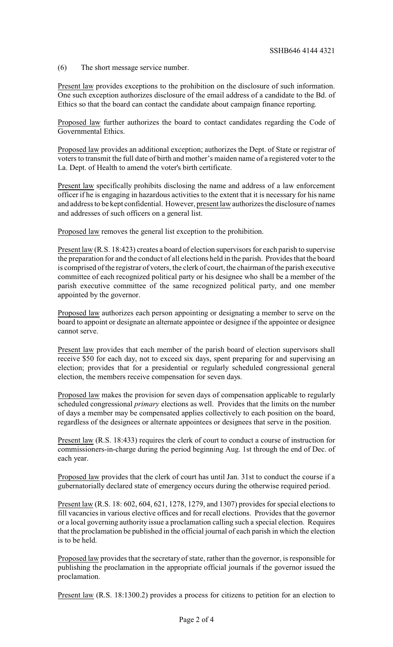(6) The short message service number.

Present law provides exceptions to the prohibition on the disclosure of such information. One such exception authorizes disclosure of the email address of a candidate to the Bd. of Ethics so that the board can contact the candidate about campaign finance reporting.

Proposed law further authorizes the board to contact candidates regarding the Code of Governmental Ethics.

Proposed law provides an additional exception; authorizes the Dept. of State or registrar of voters to transmit the full date of birth and mother's maiden name of a registered voter to the La. Dept. of Health to amend the voter's birth certificate.

Present law specifically prohibits disclosing the name and address of a law enforcement officer if he is engaging in hazardous activities to the extent that it is necessary for his name and address to be kept confidential. However, present law authorizes the disclosure of names and addresses of such officers on a general list.

Proposed law removes the general list exception to the prohibition.

Present law (R.S. 18:423) creates a board of election supervisors for each parish to supervise the preparation for and the conduct of all elections held in the parish. Provides that the board is comprised of the registrar of voters, the clerk of court, the chairman of the parish executive committee of each recognized political party or his designee who shall be a member of the parish executive committee of the same recognized political party, and one member appointed by the governor.

Proposed law authorizes each person appointing or designating a member to serve on the board to appoint or designate an alternate appointee or designee if the appointee or designee cannot serve.

Present law provides that each member of the parish board of election supervisors shall receive \$50 for each day, not to exceed six days, spent preparing for and supervising an election; provides that for a presidential or regularly scheduled congressional general election, the members receive compensation for seven days.

Proposed law makes the provision for seven days of compensation applicable to regularly scheduled congressional *primary* elections as well. Provides that the limits on the number of days a member may be compensated applies collectively to each position on the board, regardless of the designees or alternate appointees or designees that serve in the position.

Present law (R.S. 18:433) requires the clerk of court to conduct a course of instruction for commissioners-in-charge during the period beginning Aug. 1st through the end of Dec. of each year.

Proposed law provides that the clerk of court has until Jan. 31st to conduct the course if a gubernatorially declared state of emergency occurs during the otherwise required period.

Present law (R.S. 18: 602, 604, 621, 1278, 1279, and 1307) provides for special elections to fill vacancies in various elective offices and for recall elections. Provides that the governor or a local governing authority issue a proclamation calling such a special election. Requires that the proclamation be published in the official journal of each parish in which the election is to be held.

Proposed law provides that the secretary of state, rather than the governor, is responsible for publishing the proclamation in the appropriate official journals if the governor issued the proclamation.

Present law (R.S. 18:1300.2) provides a process for citizens to petition for an election to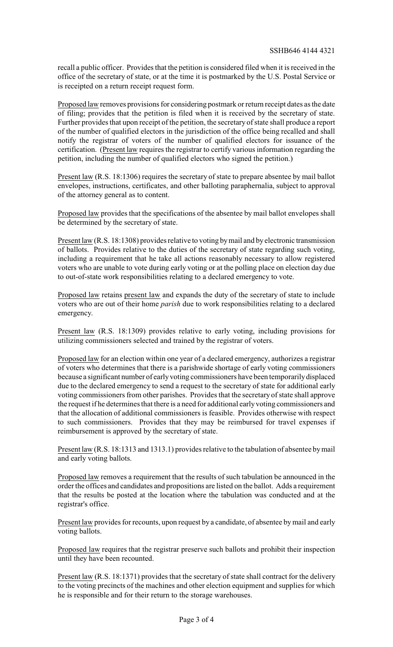recall a public officer. Provides that the petition is considered filed when it is received in the office of the secretary of state, or at the time it is postmarked by the U.S. Postal Service or is receipted on a return receipt request form.

Proposed law removes provisions for considering postmark or return receipt dates as the date of filing; provides that the petition is filed when it is received by the secretary of state. Further provides that upon receipt of the petition, the secretary of state shall produce a report of the number of qualified electors in the jurisdiction of the office being recalled and shall notify the registrar of voters of the number of qualified electors for issuance of the certification. (Present law requires the registrar to certify various information regarding the petition, including the number of qualified electors who signed the petition.)

Present law (R.S. 18:1306) requires the secretary of state to prepare absentee by mail ballot envelopes, instructions, certificates, and other balloting paraphernalia, subject to approval of the attorney general as to content.

Proposed law provides that the specifications of the absentee by mail ballot envelopes shall be determined by the secretary of state.

Present law (R.S. 18:1308) provides relative to voting bymail and by electronic transmission of ballots. Provides relative to the duties of the secretary of state regarding such voting, including a requirement that he take all actions reasonably necessary to allow registered voters who are unable to vote during early voting or at the polling place on election day due to out-of-state work responsibilities relating to a declared emergency to vote.

Proposed law retains present law and expands the duty of the secretary of state to include voters who are out of their home *parish* due to work responsibilities relating to a declared emergency.

Present law (R.S. 18:1309) provides relative to early voting, including provisions for utilizing commissioners selected and trained by the registrar of voters.

Proposed law for an election within one year of a declared emergency, authorizes a registrar of voters who determines that there is a parishwide shortage of early voting commissioners because a significant number of earlyvoting commissioners have been temporarilydisplaced due to the declared emergency to send a request to the secretary of state for additional early voting commissioners from other parishes. Provides that the secretary of state shall approve the request if he determines that there is a need for additional earlyvoting commissioners and that the allocation of additional commissioners is feasible. Provides otherwise with respect to such commissioners. Provides that they may be reimbursed for travel expenses if reimbursement is approved by the secretary of state.

Present law (R.S. 18:1313 and 1313.1) provides relative to the tabulation of absentee bymail and early voting ballots.

Proposed law removes a requirement that the results of such tabulation be announced in the order the offices and candidates and propositions are listed on the ballot. Adds a requirement that the results be posted at the location where the tabulation was conducted and at the registrar's office.

Present law provides for recounts, upon request by a candidate, of absentee by mail and early voting ballots.

Proposed law requires that the registrar preserve such ballots and prohibit their inspection until they have been recounted.

Present law (R.S. 18:1371) provides that the secretary of state shall contract for the delivery to the voting precincts of the machines and other election equipment and supplies for which he is responsible and for their return to the storage warehouses.